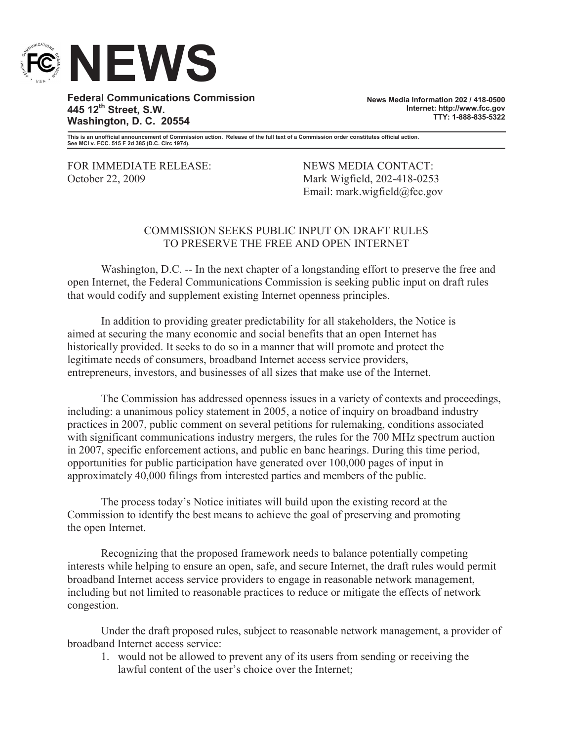

**Federal Communications Commission 445 12th Street, S.W. Washington, D. C. 20554**

**News Media Information 202 / 418-0500 Internet: http://www.fcc.gov TTY: 1-888-835-5322**

**This is an unofficial announcement of Commission action. Release of the full text of a Commission order constitutes official action. See MCI v. FCC. 515 F 2d 385 (D.C. Circ 1974).**

FOR IMMEDIATE RELEASE: NEWS MEDIA CONTACT: October 22, 2009 Mark Wigfield, 202-418-0253

Email: mark.wigfield@fcc.gov

## COMMISSION SEEKS PUBLIC INPUT ON DRAFT RULES TO PRESERVE THE FREE AND OPEN INTERNET

Washington, D.C. -- In the next chapter of a longstanding effort to preserve the free and open Internet, the Federal Communications Commission is seeking public input on draft rules that would codify and supplement existing Internet openness principles.

In addition to providing greater predictability for all stakeholders, the Notice is aimed at securing the many economic and social benefits that an open Internet has historically provided. It seeks to do so in a manner that will promote and protect the legitimate needs of consumers, broadband Internet access service providers, entrepreneurs, investors, and businesses of all sizes that make use of the Internet.

The Commission has addressed openness issues in a variety of contexts and proceedings, including: a unanimous policy statement in 2005, a notice of inquiry on broadband industry practices in 2007, public comment on several petitions for rulemaking, conditions associated with significant communications industry mergers, the rules for the 700 MHz spectrum auction in 2007, specific enforcement actions, and public en banc hearings. During this time period, opportunities for public participation have generated over 100,000 pages of input in approximately 40,000 filings from interested parties and members of the public.

The process today's Notice initiates will build upon the existing record at the Commission to identify the best means to achieve the goal of preserving and promoting the open Internet.

Recognizing that the proposed framework needs to balance potentially competing interests while helping to ensure an open, safe, and secure Internet, the draft rules would permit broadband Internet access service providers to engage in reasonable network management, including but not limited to reasonable practices to reduce or mitigate the effects of network congestion.

Under the draft proposed rules, subject to reasonable network management, a provider of broadband Internet access service:

1. would not be allowed to prevent any of its users from sending or receiving the lawful content of the user's choice over the Internet;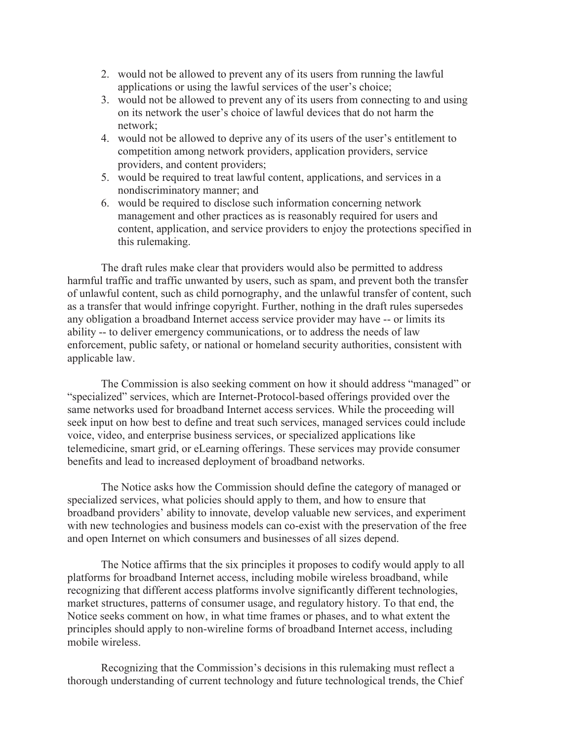- 2. would not be allowed to prevent any of its users from running the lawful applications or using the lawful services of the user's choice;
- 3. would not be allowed to prevent any of its users from connecting to and using on its network the user's choice of lawful devices that do not harm the network;
- 4. would not be allowed to deprive any of its users of the user's entitlement to competition among network providers, application providers, service providers, and content providers;
- 5. would be required to treat lawful content, applications, and services in a nondiscriminatory manner; and
- 6. would be required to disclose such information concerning network management and other practices as is reasonably required for users and content, application, and service providers to enjoy the protections specified in this rulemaking.

The draft rules make clear that providers would also be permitted to address harmful traffic and traffic unwanted by users, such as spam, and prevent both the transfer of unlawful content, such as child pornography, and the unlawful transfer of content, such as a transfer that would infringe copyright. Further, nothing in the draft rules supersedes any obligation a broadband Internet access service provider may have -- or limits its ability -- to deliver emergency communications, or to address the needs of law enforcement, public safety, or national or homeland security authorities, consistent with applicable law.

The Commission is also seeking comment on how it should address "managed" or "specialized" services, which are Internet-Protocol-based offerings provided over the same networks used for broadband Internet access services. While the proceeding will seek input on how best to define and treat such services, managed services could include voice, video, and enterprise business services, or specialized applications like telemedicine, smart grid, or eLearning offerings. These services may provide consumer benefits and lead to increased deployment of broadband networks.

The Notice asks how the Commission should define the category of managed or specialized services, what policies should apply to them, and how to ensure that broadband providers' ability to innovate, develop valuable new services, and experiment with new technologies and business models can co-exist with the preservation of the free and open Internet on which consumers and businesses of all sizes depend.

The Notice affirms that the six principles it proposes to codify would apply to all platforms for broadband Internet access, including mobile wireless broadband, while recognizing that different access platforms involve significantly different technologies, market structures, patterns of consumer usage, and regulatory history. To that end, the Notice seeks comment on how, in what time frames or phases, and to what extent the principles should apply to non-wireline forms of broadband Internet access, including mobile wireless.

Recognizing that the Commission's decisions in this rulemaking must reflect a thorough understanding of current technology and future technological trends, the Chief